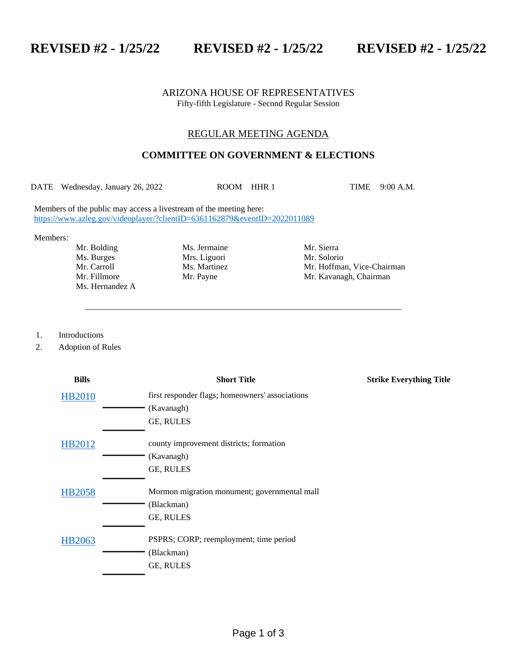**REVISED #2 - 1/25/22 REVISED #2 - 1/25/22 REVISED #2 - 1/25/22**

## ARIZONA HOUSE OF REPRESENTATIVES Fifty-fifth Legislature - Second Regular Session

## REGULAR MEETING AGENDA

## **COMMITTEE ON GOVERNMENT & ELECTIONS**

DATE Wednesday, January 26, 2022 ROOM HHR 1 TIME 9:00 A.M.

\_\_\_\_\_\_\_\_\_\_\_\_\_\_\_\_\_\_\_\_\_\_\_\_\_\_\_\_\_\_\_\_\_\_\_\_\_\_\_\_\_\_\_\_\_\_\_\_\_\_\_\_\_\_\_\_\_\_\_\_\_\_\_\_\_\_\_\_\_\_\_\_\_\_\_

Members of the public may access a livestream of the meeting here: <https://www.azleg.gov/videoplayer/?clientID=6361162879&eventID=2022011089>

Members:

Ms. Burges Mrs. Liguori Mr. Solorio Mr. Solorio Mr. Carroll Ms. Martinez Mr. Hoffma Ms. Hernandez A

Mr. Bolding Ms. Jermaine Mr. Sierra

Ms. Martinez Mr. Hoffman, Vice-Chairman Mr. Fillmore Mr. Payne Mr. And Mr. Kavanagh, Chairman

1. Introductions

2. Adoption of Rules

| <b>Bills</b>  | <b>Short Title</b>                                                 | <b>Strike Everything Title</b> |
|---------------|--------------------------------------------------------------------|--------------------------------|
| <b>HB2010</b> | first responder flags; homeowners' associations                    |                                |
|               | (Kavanagh)                                                         |                                |
|               | GE, RULES                                                          |                                |
| HB2012        | county improvement districts; formation<br>(Kavanagh)<br>GE, RULES |                                |
| <b>HB2058</b> | Mormon migration monument; governmental mall                       |                                |
|               | (Blackman)                                                         |                                |
|               | GE, RULES                                                          |                                |
| HB2063        | PSPRS; CORP; reemployment; time period<br>(Blackman)<br>GE, RULES  |                                |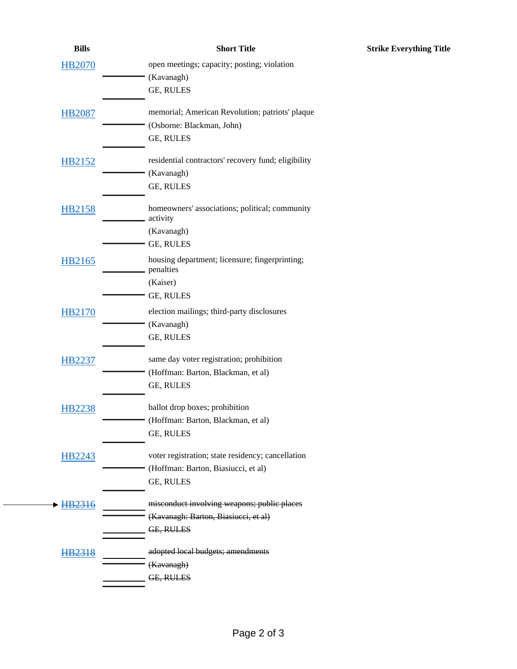| <b>Bills</b>  | <b>Short Title</b>                                          |
|---------------|-------------------------------------------------------------|
| <b>HB2070</b> | open meetings; capacity; posting; violation                 |
|               | (Kavanagh)                                                  |
|               | GE, RULES                                                   |
| <b>HB2087</b> | memorial; American Revolution; patriots' plaque             |
|               | (Osborne: Blackman, John)                                   |
|               | GE, RULES                                                   |
| HB2152        | residential contractors' recovery fund; eligibility         |
|               | (Kavanagh)                                                  |
|               | GE, RULES                                                   |
| <b>HB2158</b> | homeowners' associations; political; community              |
|               | activity<br>(Kavanagh)                                      |
|               | GE, RULES                                                   |
|               |                                                             |
| HB2165        | housing department; licensure; fingerprinting;<br>penalties |
|               | (Kaiser)                                                    |
|               | GE, RULES                                                   |
| <b>HB2170</b> | election mailings; third-party disclosures                  |
|               | (Kavanagh)                                                  |
|               | GE, RULES                                                   |
| HB2237        | same day voter registration; prohibition                    |
|               | (Hoffman: Barton, Blackman, et al)                          |
|               | GE, RULES                                                   |
| <b>HB2238</b> | ballot drop boxes; prohibition                              |
|               | (Hoffman: Barton, Blackman, et al)                          |
|               | GE, RULES                                                   |
| <b>HB2243</b> | voter registration; state residency; cancellation           |
|               | (Hoffman: Barton, Biasiucci, et al)                         |
|               | GE, RULES                                                   |
| HB2316        | misconduct involving weapons; public places                 |
|               | (Kavanagh: Barton, Biasiucci, et al)                        |
|               | GE, RULES                                                   |
| HB2318        | adopted local budgets; amendments                           |
|               | (Kavanagh)                                                  |
|               | GE, RULES                                                   |

**Strike Everything Title**